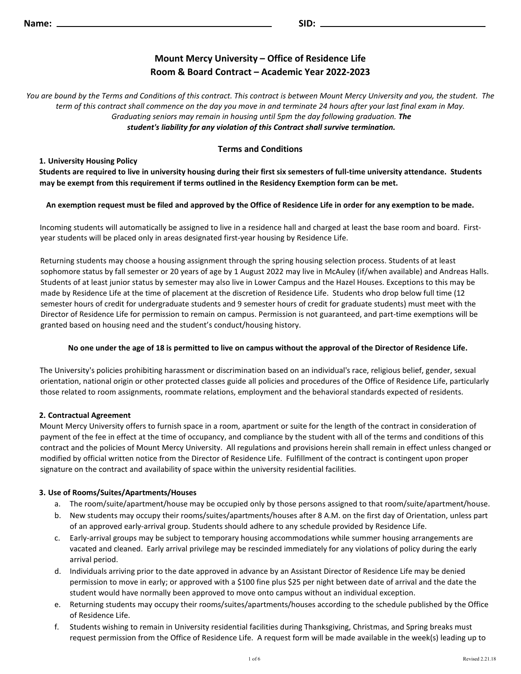# **Mount Mercy University – Office of Residence Life Room & Board Contract – Academic Year 2022-2023**

*You are bound by the Terms and Conditions of this contract. This contract is between Mount Mercy University and you, the student. The term of this contract shall commence on the day you move in and terminate 24 hours after your last final exam in May. Graduating seniors may remain in housing until 5pm the day following graduation. The student's liability for any violation of this Contract shall survive termination.*

# **Terms and Conditions**

**1. University Housing Policy**

**Students are required to live in university housing during their first six semesters of full-time university attendance. Students may be exempt from this requirement if terms outlined in the Residency Exemption form can be met.**

## **An exemption request must be filed and approved by the Office of Residence Life in order for any exemption to be made.**

Incoming students will automatically be assigned to live in a residence hall and charged at least the base room and board. Firstyear students will be placed only in areas designated first-year housing by Residence Life.

Returning students may choose a housing assignment through the spring housing selection process. Students of at least sophomore status by fall semester or 20 years of age by 1 August 2022 may live in McAuley (if/when available) and Andreas Halls. Students of at least junior status by semester may also live in Lower Campus and the Hazel Houses. Exceptions to this may be made by Residence Life at the time of placement at the discretion of Residence Life. Students who drop below full time (12 semester hours of credit for undergraduate students and 9 semester hours of credit for graduate students) must meet with the Director of Residence Life for permission to remain on campus. Permission is not guaranteed, and part-time exemptions will be granted based on housing need and the student's conduct/housing history.

#### **No one under the age of 18 is permitted to live on campus without the approval of the Director of Residence Life.**

The University's policies prohibiting harassment or discrimination based on an individual's race, religious belief, gender, sexual orientation, national origin or other protected classes guide all policies and procedures of the Office of Residence Life, particularly those related to room assignments, roommate relations, employment and the behavioral standards expected of residents.

# **2. Contractual Agreement**

Mount Mercy University offers to furnish space in a room, apartment or suite for the length of the contract in consideration of payment of the fee in effect at the time of occupancy, and compliance by the student with all of the terms and conditions of this contract and the policies of Mount Mercy University. All regulations and provisions herein shall remain in effect unless changed or modified by official written notice from the Director of Residence Life. Fulfillment of the contract is contingent upon proper signature on the contract and availability of space within the university residential facilities.

# **3. Use of Rooms/Suites/Apartments/Houses**

- a. The room/suite/apartment/house may be occupied only by those persons assigned to that room/suite/apartment/house.
- b. New students may occupy their rooms/suites/apartments/houses after 8 A.M. on the first day of Orientation, unless part of an approved early-arrival group. Students should adhere to any schedule provided by Residence Life.
- c. Early-arrival groups may be subject to temporary housing accommodations while summer housing arrangements are vacated and cleaned. Early arrival privilege may be rescinded immediately for any violations of policy during the early arrival period.
- d. Individuals arriving prior to the date approved in advance by an Assistant Director of Residence Life may be denied permission to move in early; or approved with a \$100 fine plus \$25 per night between date of arrival and the date the student would have normally been approved to move onto campus without an individual exception.
- e. Returning students may occupy their rooms/suites/apartments/houses according to the schedule published by the Office of Residence Life.
- f. Students wishing to remain in University residential facilities during Thanksgiving, Christmas, and Spring breaks must request permission from the Office of Residence Life. A request form will be made available in the week(s) leading up to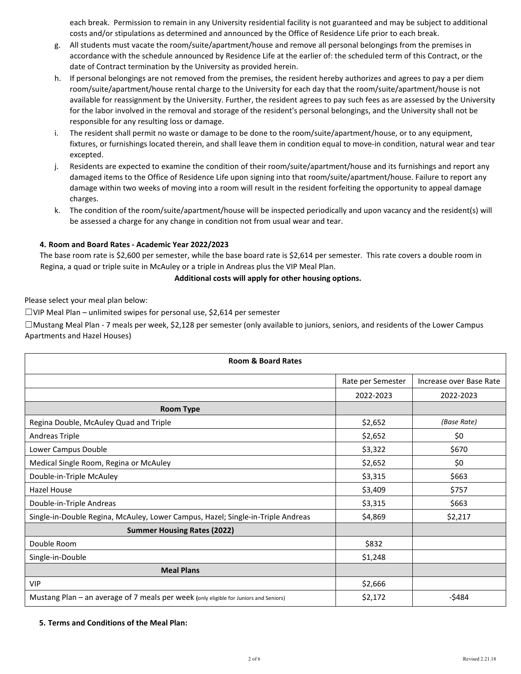each break. Permission to remain in any University residential facility is not guaranteed and may be subject to additional costs and/or stipulations as determined and announced by the Office of Residence Life prior to each break.

- g. All students must vacate the room/suite/apartment/house and remove all personal belongings from the premises in accordance with the schedule announced by Residence Life at the earlier of: the scheduled term of this Contract, or the date of Contract termination by the University as provided herein.
- h. If personal belongings are not removed from the premises, the resident hereby authorizes and agrees to pay a per diem room/suite/apartment/house rental charge to the University for each day that the room/suite/apartment/house is not available for reassignment by the University. Further, the resident agrees to pay such fees as are assessed by the University for the labor involved in the removal and storage of the resident's personal belongings, and the University shall not be responsible for any resulting loss or damage.
- i. The resident shall permit no waste or damage to be done to the room/suite/apartment/house, or to any equipment, fixtures, or furnishings located therein, and shall leave them in condition equal to move-in condition, natural wear and tear excepted.
- j. Residents are expected to examine the condition of their room/suite/apartment/house and its furnishings and report any damaged items to the Office of Residence Life upon signing into that room/suite/apartment/house. Failure to report any damage within two weeks of moving into a room will result in the resident forfeiting the opportunity to appeal damage charges.
- k. The condition of the room/suite/apartment/house will be inspected periodically and upon vacancy and the resident(s) will be assessed a charge for any change in condition not from usual wear and tear.

# **4. Room and Board Rates - Academic Year 2022/2023**

The base room rate is \$2,600 per semester, while the base board rate is \$2,614 per semester. This rate covers a double room in Regina, a quad or triple suite in McAuley or a triple in Andreas plus the VIP Meal Plan.

#### **Additional costs will apply for other housing options.**

Please select your meal plan below:

☐VIP Meal Plan – unlimited swipes for personal use, \$2,614 per semester

☐Mustang Meal Plan - 7 meals per week, \$2,128 per semester (only available to juniors, seniors, and residents of the Lower Campus Apartments and Hazel Houses)

| <b>Room &amp; Board Rates</b>                                                         |                   |                         |
|---------------------------------------------------------------------------------------|-------------------|-------------------------|
|                                                                                       | Rate per Semester | Increase over Base Rate |
|                                                                                       | 2022-2023         | 2022-2023               |
| <b>Room Type</b>                                                                      |                   |                         |
| Regina Double, McAuley Quad and Triple                                                | \$2,652           | (Base Rate)             |
| <b>Andreas Triple</b>                                                                 | \$2,652           | \$0                     |
| Lower Campus Double                                                                   | \$3,322           | \$670                   |
| Medical Single Room, Regina or McAuley                                                | \$2,652           | \$0                     |
| Double-in-Triple McAuley                                                              | \$3,315           | \$663                   |
| Hazel House                                                                           | \$3,409           | \$757                   |
| Double-in-Triple Andreas                                                              | \$3,315           | \$663                   |
| Single-in-Double Regina, McAuley, Lower Campus, Hazel; Single-in-Triple Andreas       | \$4,869           | \$2,217                 |
| <b>Summer Housing Rates (2022)</b>                                                    |                   |                         |
| Double Room                                                                           | \$832             |                         |
| Single-in-Double                                                                      | \$1,248           |                         |
| <b>Meal Plans</b>                                                                     |                   |                         |
| <b>VIP</b>                                                                            | \$2,666           |                         |
| Mustang Plan - an average of 7 meals per week (only eligible for Juniors and Seniors) | \$2,172           | -\$484                  |

#### **5. Terms and Conditions of the Meal Plan:**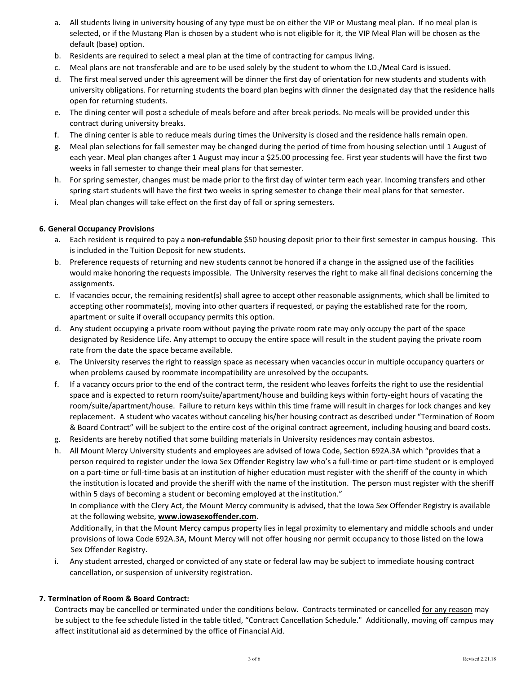- a. All students living in university housing of any type must be on either the VIP or Mustang meal plan. If no meal plan is selected, or if the Mustang Plan is chosen by a student who is not eligible for it, the VIP Meal Plan will be chosen as the default (base) option.
- b. Residents are required to select a meal plan at the time of contracting for campus living.
- c. Meal plans are not transferable and are to be used solely by the student to whom the I.D./Meal Card is issued.
- d. The first meal served under this agreement will be dinner the first day of orientation for new students and students with university obligations. For returning students the board plan begins with dinner the designated day that the residence halls open for returning students.
- e. The dining center will post a schedule of meals before and after break periods. No meals will be provided under this contract during university breaks.
- f. The dining center is able to reduce meals during times the University is closed and the residence halls remain open.
- g. Meal plan selections for fall semester may be changed during the period of time from housing selection until 1 August of each year. Meal plan changes after 1 August may incur a \$25.00 processing fee. First year students will have the first two weeks in fall semester to change their meal plans for that semester.
- h. For spring semester, changes must be made prior to the first day of winter term each year. Incoming transfers and other spring start students will have the first two weeks in spring semester to change their meal plans for that semester.
- i. Meal plan changes will take effect on the first day of fall or spring semesters.

#### **6. General Occupancy Provisions**

- a. Each resident is required to pay a **non-refundable** \$50 housing deposit prior to their first semester in campus housing. This is included in the Tuition Deposit for new students.
- b. Preference requests of returning and new students cannot be honored if a change in the assigned use of the facilities would make honoring the requests impossible. The University reserves the right to make all final decisions concerning the assignments.
- c. If vacancies occur, the remaining resident(s) shall agree to accept other reasonable assignments, which shall be limited to accepting other roommate(s), moving into other quarters if requested, or paying the established rate for the room, apartment or suite if overall occupancy permits this option.
- d. Any student occupying a private room without paying the private room rate may only occupy the part of the space designated by Residence Life. Any attempt to occupy the entire space will result in the student paying the private room rate from the date the space became available.
- e. The University reserves the right to reassign space as necessary when vacancies occur in multiple occupancy quarters or when problems caused by roommate incompatibility are unresolved by the occupants.
- f. If a vacancy occurs prior to the end of the contract term, the resident who leaves forfeits the right to use the residential space and is expected to return room/suite/apartment/house and building keys within forty-eight hours of vacating the room/suite/apartment/house. Failure to return keys within this time frame will result in charges for lock changes and key replacement. A student who vacates without canceling his/her housing contract as described under "Termination of Room & Board Contract" will be subject to the entire cost of the original contract agreement, including housing and board costs.
- g. Residents are hereby notified that some building materials in University residences may contain asbestos.
- h. All Mount Mercy University students and employees are advised of Iowa Code, Section 692A.3A which "provides that a person required to register under the Iowa Sex Offender Registry law who's a full-time or part-time student or is employed on a part-time or full-time basis at an institution of higher education must register with the sheriff of the county in which the institution is located and provide the sheriff with the name of the institution. The person must register with the sheriff within 5 days of becoming a student or becoming employed at the institution."

In compliance with the Clery Act, the Mount Mercy community is advised, that the Iowa Sex Offender Registry is available at the following website, **[www.iowasexoffender.com](http://www.iowasexoffender.com/)**[.](http://www.iowasexoffender.com/)

Additionally, in that the Mount Mercy campus property lies in legal proximity to elementary and middle schools and under provisions of Iowa Code 692A.3A, Mount Mercy will not offer housing nor permit occupancy to those listed on the Iowa Sex Offender Registry.

i. Any student arrested, charged or convicted of any state or federal law may be subject to immediate housing contract cancellation, or suspension of university registration.

### **7. Termination of Room & Board Contract:**

Contracts may be cancelled or terminated under the conditions below. Contracts terminated or cancelled for any reason may be subject to the fee schedule listed in the table titled, "Contract Cancellation Schedule." Additionally, moving off campus may affect institutional aid as determined by the office of Financial Aid.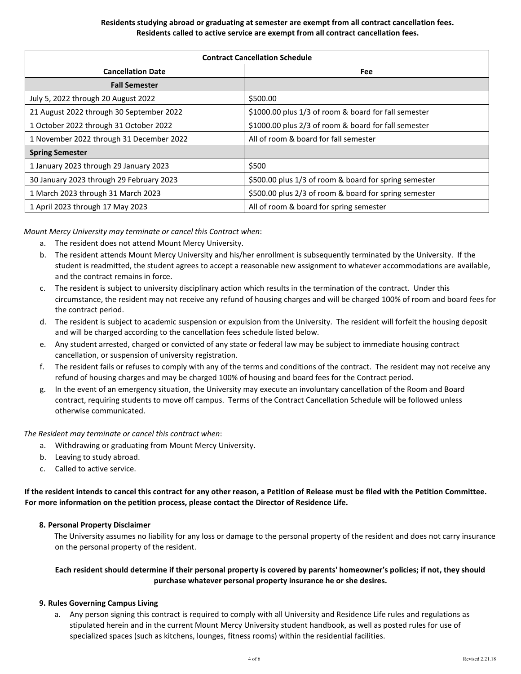### **Residents studying abroad or graduating at semester are exempt from all contract cancellation fees. Residents called to active service are exempt from all contract cancellation fees.**

| <b>Contract Cancellation Schedule</b>    |                                                       |  |
|------------------------------------------|-------------------------------------------------------|--|
| <b>Cancellation Date</b>                 | Fee                                                   |  |
| <b>Fall Semester</b>                     |                                                       |  |
| July 5, 2022 through 20 August 2022      | \$500.00                                              |  |
| 21 August 2022 through 30 September 2022 | \$1000.00 plus 1/3 of room & board for fall semester  |  |
| 1 October 2022 through 31 October 2022   | \$1000.00 plus 2/3 of room & board for fall semester  |  |
| 1 November 2022 through 31 December 2022 | All of room & board for fall semester                 |  |
| <b>Spring Semester</b>                   |                                                       |  |
| 1 January 2023 through 29 January 2023   | \$500                                                 |  |
| 30 January 2023 through 29 February 2023 | \$500.00 plus 1/3 of room & board for spring semester |  |
| 1 March 2023 through 31 March 2023       | \$500.00 plus 2/3 of room & board for spring semester |  |
| 1 April 2023 through 17 May 2023         | All of room & board for spring semester               |  |

*Mount Mercy University may terminate or cancel this Contract when*:

- a. The resident does not attend Mount Mercy University.
- b. The resident attends Mount Mercy University and his/her enrollment is subsequently terminated by the University. If the student is readmitted, the student agrees to accept a reasonable new assignment to whatever accommodations are available, and the contract remains in force.
- c. The resident is subject to university disciplinary action which results in the termination of the contract. Under this circumstance, the resident may not receive any refund of housing charges and will be charged 100% of room and board fees for the contract period.
- d. The resident is subject to academic suspension or expulsion from the University. The resident will forfeit the housing deposit and will be charged according to the cancellation fees schedule listed below.
- e. Any student arrested, charged or convicted of any state or federal law may be subject to immediate housing contract cancellation, or suspension of university registration.
- f. The resident fails or refuses to comply with any of the terms and conditions of the contract. The resident may not receive any refund of housing charges and may be charged 100% of housing and board fees for the Contract period.
- g. In the event of an emergency situation, the University may execute an involuntary cancellation of the Room and Board contract, requiring students to move off campus. Terms of the Contract Cancellation Schedule will be followed unless otherwise communicated.

*The Resident may terminate or cancel this contract when*:

- a. Withdrawing or graduating from Mount Mercy University.
- b. Leaving to study abroad.
- c. Called to active service.

**If the resident intends to cancel this contract for any other reason, a Petition of Release must be filed with the Petition Committee. For more information on the petition process, please contact the Director of Residence Life.**

#### **8. Personal Property Disclaimer**

The University assumes no liability for any loss or damage to the personal property of the resident and does not carry insurance on the personal property of the resident.

## **Each resident should determine if their personal property is covered by parents' homeowner's policies; if not, they should purchase whatever personal property insurance he or she desires.**

#### **9. Rules Governing Campus Living**

a. Any person signing this contract is required to comply with all University and Residence Life rules and regulations as stipulated herein and in the current Mount Mercy University student handbook, as well as posted rules for use of specialized spaces (such as kitchens, lounges, fitness rooms) within the residential facilities.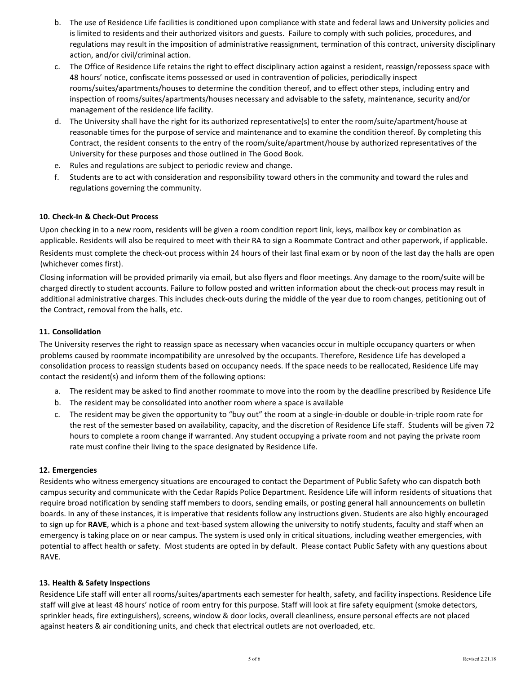- b. The use of Residence Life facilities is conditioned upon compliance with state and federal laws and University policies and is limited to residents and their authorized visitors and guests. Failure to comply with such policies, procedures, and regulations may result in the imposition of administrative reassignment, termination of this contract, university disciplinary action, and/or civil/criminal action.
- c. The Office of Residence Life retains the right to effect disciplinary action against a resident, reassign/repossess space with 48 hours' notice, confiscate items possessed or used in contravention of policies, periodically inspect rooms/suites/apartments/houses to determine the condition thereof, and to effect other steps, including entry and inspection of rooms/suites/apartments/houses necessary and advisable to the safety, maintenance, security and/or management of the residence life facility.
- d. The University shall have the right for its authorized representative(s) to enter the room/suite/apartment/house at reasonable times for the purpose of service and maintenance and to examine the condition thereof. By completing this Contract, the resident consents to the entry of the room/suite/apartment/house by authorized representatives of the University for these purposes and those outlined in The Good Book.
- e. Rules and regulations are subject to periodic review and change.
- f. Students are to act with consideration and responsibility toward others in the community and toward the rules and regulations governing the community.

## **10. Check-In & Check-Out Process**

Upon checking in to a new room, residents will be given a room condition report link, keys, mailbox key or combination as applicable. Residents will also be required to meet with their RA to sign a Roommate Contract and other paperwork, if applicable. Residents must complete the check-out process within 24 hours of their last final exam or by noon of the last day the halls are open (whichever comes first).

Closing information will be provided primarily via email, but also flyers and floor meetings. Any damage to the room/suite will be charged directly to student accounts. Failure to follow posted and written information about the check-out process may result in additional administrative charges. This includes check-outs during the middle of the year due to room changes, petitioning out of the Contract, removal from the halls, etc.

## **11. Consolidation**

The University reserves the right to reassign space as necessary when vacancies occur in multiple occupancy quarters or when problems caused by roommate incompatibility are unresolved by the occupants. Therefore, Residence Life has developed a consolidation process to reassign students based on occupancy needs. If the space needs to be reallocated, Residence Life may contact the resident(s) and inform them of the following options:

- a. The resident may be asked to find another roommate to move into the room by the deadline prescribed by Residence Life
- b. The resident may be consolidated into another room where a space is available
- c. The resident may be given the opportunity to "buy out" the room at a single-in-double or double-in-triple room rate for the rest of the semester based on availability, capacity, and the discretion of Residence Life staff. Students will be given 72 hours to complete a room change if warranted. Any student occupying a private room and not paying the private room rate must confine their living to the space designated by Residence Life.

#### **12. Emergencies**

Residents who witness emergency situations are encouraged to contact the Department of Public Safety who can dispatch both campus security and communicate with the Cedar Rapids Police Department. Residence Life will inform residents of situations that require broad notification by sending staff members to doors, sending emails, or posting general hall announcements on bulletin boards. In any of these instances, it is imperative that residents follow any instructions given. Students are also highly encouraged to sign up for **RAVE**, which is a phone and text-based system allowing the university to notify students, faculty and staff when an emergency is taking place on or near campus. The system is used only in critical situations, including weather emergencies, with potential to affect health or safety. Most students are opted in by default. Please contact Public Safety with any questions about RAVE.

#### **13. Health & Safety Inspections**

Residence Life staff will enter all rooms/suites/apartments each semester for health, safety, and facility inspections. Residence Life staff will give at least 48 hours' notice of room entry for this purpose. Staff will look at fire safety equipment (smoke detectors, sprinkler heads, fire extinguishers), screens, window & door locks, overall cleanliness, ensure personal effects are not placed against heaters & air conditioning units, and check that electrical outlets are not overloaded, etc.